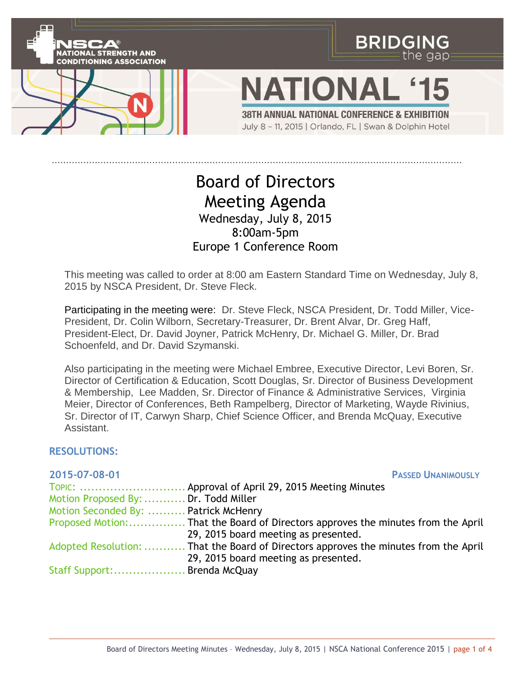

## Board of Directors Meeting Agenda Wednesday, July 8, 2015 8:00am-5pm Europe 1 Conference Room

This meeting was called to order at 8:00 am Eastern Standard Time on Wednesday, July 8, 2015 by NSCA President, Dr. Steve Fleck.

Participating in the meeting were: Dr. Steve Fleck, NSCA President, Dr. Todd Miller, Vice-President, Dr. Colin Wilborn, Secretary-Treasurer, Dr. Brent Alvar, Dr. Greg Haff, President-Elect, Dr. David Joyner, Patrick McHenry, Dr. Michael G. Miller, Dr. Brad Schoenfeld, and Dr. David Szymanski.

Also participating in the meeting were Michael Embree, Executive Director, Levi Boren, Sr. Director of Certification & Education, Scott Douglas, Sr. Director of Business Development & Membership, Lee Madden, Sr. Director of Finance & Administrative Services, Virginia Meier, Director of Conferences, Beth Rampelberg, Director of Marketing, Wayde Rivinius, Sr. Director of IT, Carwyn Sharp, Chief Science Officer, and Brenda McQuay, Executive Assistant.

## **RESOLUTIONS:**

| 2015-07-08-01                        | <b>PASSED UNANIMOUSLY</b>                                                                                                    |
|--------------------------------------|------------------------------------------------------------------------------------------------------------------------------|
|                                      | TOPIC:  Approval of April 29, 2015 Meeting Minutes                                                                           |
| Motion Proposed By:  Dr. Todd Miller |                                                                                                                              |
| Motion Seconded By:  Patrick McHenry |                                                                                                                              |
|                                      | 29, 2015 board meeting as presented.                                                                                         |
|                                      | Adopted Resolution:  That the Board of Directors approves the minutes from the April<br>29, 2015 board meeting as presented. |
| Staff Support: Brenda McQuay         |                                                                                                                              |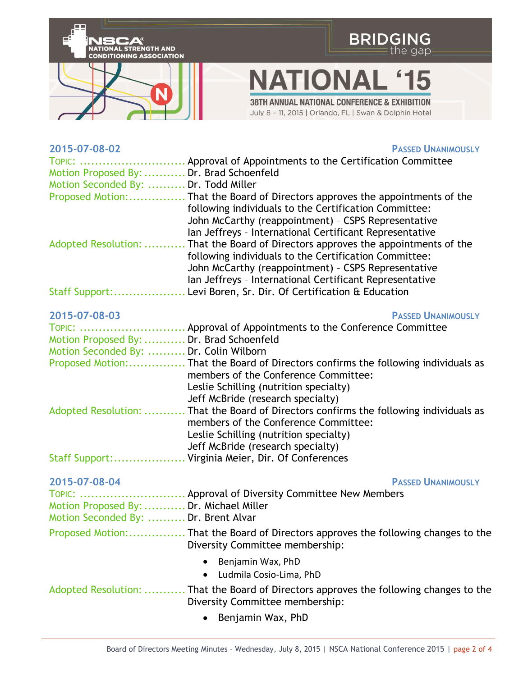

| 2015-07-08-02                            | <b>PASSED UNANIMOUSLY</b>                                                              |
|------------------------------------------|----------------------------------------------------------------------------------------|
|                                          | TOPIC:  Approval of Appointments to the Certification Committee                        |
| Motion Proposed By:  Dr. Brad Schoenfeld |                                                                                        |
| Motion Seconded By:  Dr. Todd Miller     |                                                                                        |
|                                          | Proposed Motion: That the Board of Directors approves the appointments of the          |
|                                          | following individuals to the Certification Committee:                                  |
|                                          | John McCarthy (reappointment) - CSPS Representative                                    |
|                                          | Ian Jeffreys - International Certificant Representative                                |
| Adopted Resolution:                      | . That the Board of Directors approves the appointments of the                         |
|                                          | following individuals to the Certification Committee:                                  |
|                                          | John McCarthy (reappointment) - CSPS Representative                                    |
|                                          | Ian Jeffreys - International Certificant Representative                                |
|                                          | Staff Support: Levi Boren, Sr. Dir. Of Certification & Education                       |
|                                          |                                                                                        |
| 2015-07-08-03                            | <b>PASSED UNANIMOUSLY</b>                                                              |
|                                          | TOPIC:  Approval of Appointments to the Conference Committee                           |
| Motion Proposed By:  Dr. Brad Schoenfeld |                                                                                        |
| Motion Seconded By:  Dr. Colin Wilborn   |                                                                                        |
|                                          | Proposed Motion: That the Board of Directors confirms the following individuals as     |
|                                          | members of the Conference Committee:                                                   |
|                                          | Leslie Schilling (nutrition specialty)                                                 |
|                                          | Jeff McBride (research specialty)                                                      |
|                                          | Adopted Resolution:  That the Board of Directors confirms the following individuals as |
|                                          | members of the Conference Committee:                                                   |
|                                          | Leslie Schilling (nutrition specialty)                                                 |
|                                          | Jeff McBride (research specialty)                                                      |
|                                          | Staff Support: Virginia Meier, Dir. Of Conferences                                     |
|                                          |                                                                                        |
| 2015-07-08-04                            | <b>PASSED UNANIMOUSLY</b>                                                              |
|                                          | TOPIC:  Approval of Diversity Committee New Members                                    |
| Motion Proposed By:  Dr. Michael Miller  |                                                                                        |
| Motion Seconded By:  Dr. Brent Alvar     |                                                                                        |
|                                          | Diversity Committee membership:                                                        |
|                                          |                                                                                        |
|                                          | Benjamin Wax, PhD<br>$\bullet$                                                         |
|                                          | Ludmila Cosio-Lima, PhD<br>$\bullet$                                                   |
|                                          | Adopted Resolution:  That the Board of Directors approves the following changes to the |
|                                          | Diversity Committee membership:                                                        |
|                                          | Benjamin Wax, PhD<br>$\bullet$                                                         |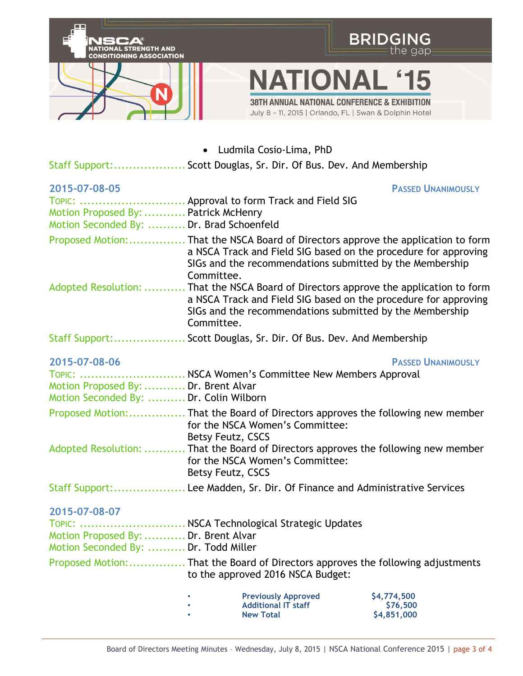

Ludmila Cosio-Lima, PhD

Staff Support:................... Scott Douglas, Sr. Dir. Of Bus. Dev. And Membership

| 2015-07-08-05                                                                    |                                                                                                                                                                                                                                    | <b>PASSED UNANIMOUSLY</b>              |  |
|----------------------------------------------------------------------------------|------------------------------------------------------------------------------------------------------------------------------------------------------------------------------------------------------------------------------------|----------------------------------------|--|
| Motion Proposed By:  Patrick McHenry<br>Motion Seconded By:  Dr. Brad Schoenfeld | TOPIC:  Approval to form Track and Field SIG                                                                                                                                                                                       |                                        |  |
|                                                                                  | Proposed Motion: That the NSCA Board of Directors approve the application to form<br>a NSCA Track and Field SIG based on the procedure for approving<br>SIGs and the recommendations submitted by the Membership<br>Committee.     |                                        |  |
|                                                                                  | Adopted Resolution:  That the NSCA Board of Directors approve the application to form<br>a NSCA Track and Field SIG based on the procedure for approving<br>SIGs and the recommendations submitted by the Membership<br>Committee. |                                        |  |
|                                                                                  | Staff Support: Scott Douglas, Sr. Dir. Of Bus. Dev. And Membership                                                                                                                                                                 |                                        |  |
| 2015-07-08-06                                                                    |                                                                                                                                                                                                                                    | <b>PASSED UNANIMOUSLY</b>              |  |
|                                                                                  | TOPIC:  NSCA Women's Committee New Members Approval                                                                                                                                                                                |                                        |  |
| Motion Proposed By:  Dr. Brent Alvar<br>Motion Seconded By:  Dr. Colin Wilborn   |                                                                                                                                                                                                                                    |                                        |  |
|                                                                                  | Proposed Motion: That the Board of Directors approves the following new member<br>for the NSCA Women's Committee:<br>Betsy Feutz, CSCS                                                                                             |                                        |  |
|                                                                                  | Adopted Resolution:  That the Board of Directors approves the following new member<br>for the NSCA Women's Committee:<br>Betsy Feutz, CSCS                                                                                         |                                        |  |
|                                                                                  | Staff Support: Lee Madden, Sr. Dir. Of Finance and Administrative Services                                                                                                                                                         |                                        |  |
| 2015-07-08-07                                                                    |                                                                                                                                                                                                                                    |                                        |  |
| Motion Proposed By:  Dr. Brent Alvar<br>Motion Seconded By:  Dr. Todd Miller     | TOPIC:  NSCA Technological Strategic Updates                                                                                                                                                                                       |                                        |  |
|                                                                                  | Proposed Motion: That the Board of Directors approves the following adjustments<br>to the approved 2016 NSCA Budget:                                                                                                               |                                        |  |
|                                                                                  | <b>Previously Approved</b><br><b>Additional IT staff</b><br><b>New Total</b>                                                                                                                                                       | \$4,774,500<br>\$76,500<br>\$4,851,000 |  |